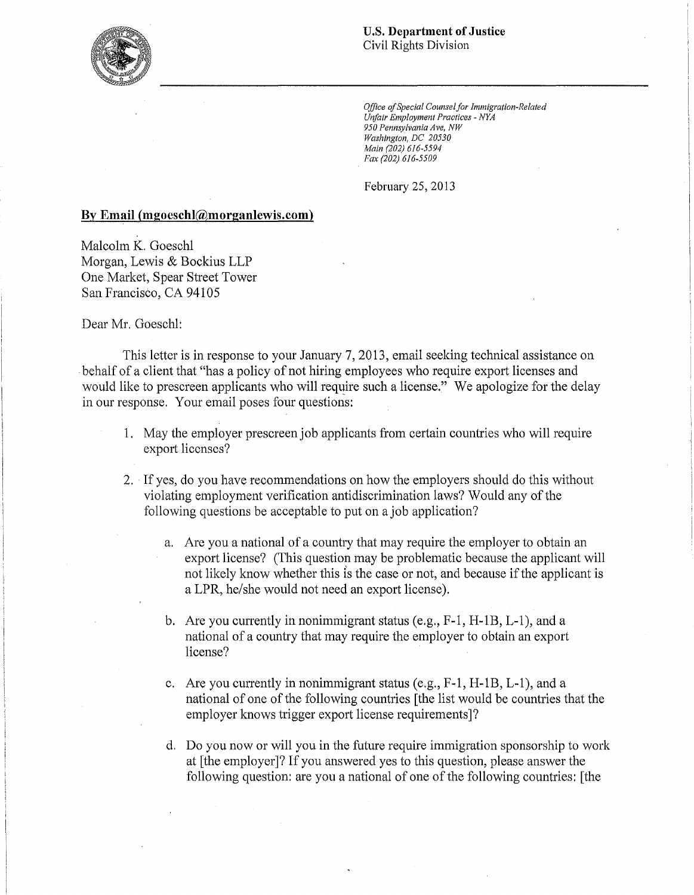

*Office ofSpecial Counselfor Immigration-Related Unfair Employment Practices· NYA 950 Pennsylvania Ave, NW Washington, DC 20530 Main (202) 616-5594 Fax (202) 616-5509* 

February 25, 2013

## **By Email (mgoeschl@morganlewis.com)**

Malcolm K. Goeschl Morgan, Lewis & Bockius LLP One Market, Spear Street Tower San Francisco, CA 94105

Dear Mr. Goeschl:

This letter is in response to your January 7, 2013, email seeking technical assistance on behalf of a client that "has a policy of not hiring employees who require export licenses and would like to prescreen applicants who will require such a license." We apologize for the delay in our response. Your email poses four questions:

- 1. May the employer prescreen job applicants from certain countries who will require export licenses?
- 2. If yes, do you have recommendations on how the employers should do this without violating employment verification antidiscrimination laws? Would any of the following questions be acceptable to put on a job application?
	- a. Are you a national of a country that may require the employer to obtain an export license? (This question may be problematic because the applicant will not likely know whether this is the case or not, and because if the applicant is a LPR, he/she would not need an export license).
	- b. Are you currently in nonimmigrant status  $(e.g., F-1, H-1B, L-1)$ , and a national of a country that may require the employer to obtain an export license?
	- c. Are you currently in nonimmigrant status (e.g., F-1, H-1B, L-1), and a national of one of the following countries [the list would be countries that the employer knows trigger export license requirements]?
	- d. Do you now or will you in the future require immigration sponsorship to work at [the employer]? Ifyou answered yes to this question, please answer the following question: are you a national of one of the following countries: [the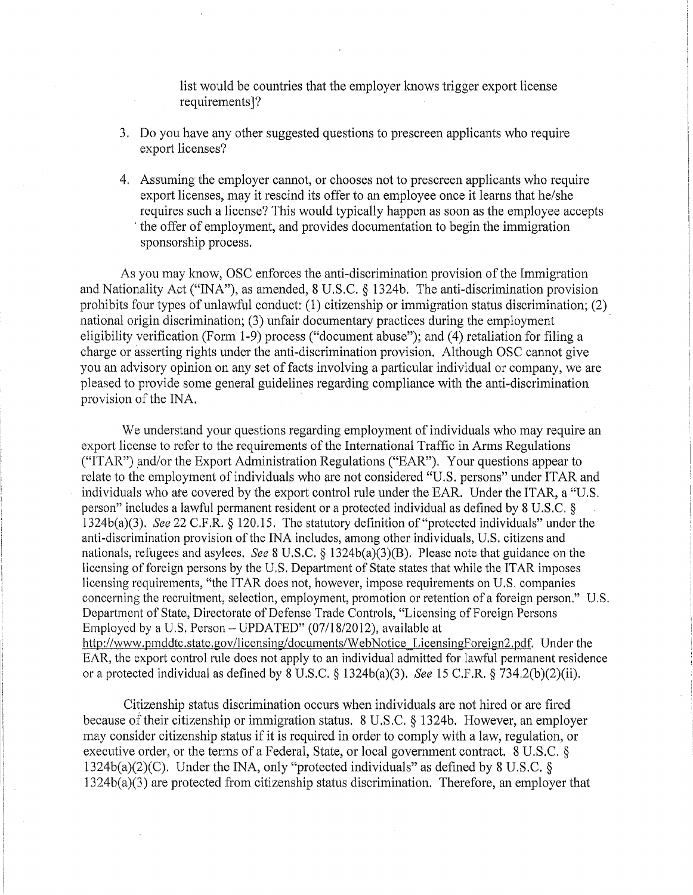list would be countries that the employer knows trigger export license requirements]7

- 3. Do you have any other suggested questions to prescreen applicants who require export licenses?
- 4. Assuming the employer cannot, or chooses not to prescreen applicants who require export licenses, may it rescind its offer to an employee once it learns that he/she requires such a license? This would typically happen as soon as the employee accepts , the offer of employment, and provides documentation to begin the immigration sponsorship process.

As you may know, OSC enforces the anti-discrimination provision of the Immigration and Nationality Act ("INA"), as amended, 8 U.S.C. § 1324b. The anti-discrimination provision prohibits four types of unlawful conduct: (1) citizenship or immigration status discrimination; (2) national origin discrimination; (3) unfair documentary practices during the employment eligibility verification (Form 1-9) process ("document abuse"); and (4) retaliation for filing a charge or asserting rights under the anti-discrimination provision. Although OSC cannot give you an advisory opinion on any set of facts involving a particular individual or company, we are pleased to provide some general guidelines regarding compliance with the anti-discrimination provision of the INA.

We understand your questions regarding employment of individuals who may require an export license to refer to the requirements of the International Traffic in Arms Regulations  $("ITAR")$  and/or the Export Administration Regulations  $("EAR")$ . Your questions appear to relate to the employment of individuals who are not considered "U.S. persons" under ITAR and individuals who are covered by the export control rule under the EAR. Under the ITAR, a "U.S. person" includes a lawful permanent resident or a protected individual as defined by 8 U.S.C. § 1 324b(a)(3). *See* 22 C.F.R. § 120.15. The statutory definition of "protected individuals" under the anti-discrimination provision of the INA includes, among other individuals, U.S. citizens and nationals, refugees and asylees. *See* 8 U.S.C. § 1324b(a)(3)(B). Please note that guidance on the licensing of foreign persons by the U.S. Department of State states that while the ITAR imposes licensing requirements, "the ITAR does not, however, impose requirements on U.S. companies concerning the recruitment, selection, employment, promotion or retention of a foreign person." U.S. Department of State, Directorate of Defense Trade Controls, "Licensing of Foreign Persons Employed by a U.S. Person - UPDATED" (07118/2012), available at http://www.pmddtc.state.gov/licensing/documents/WebNotice LicensingForeign2.pdf. Under the EAR, the export control rule does not apply to an individual admitted for lawful permanent residence or a protected individual as defined by 8 U.S.C. § 1324b(a)(3). *See* 15 C.F.R. § 734.2(b)(2)(ii).

Citizenship status discrimination occurs when individuals are not hired or are fired because of their citizenship or immigration status. 8 U.S.C. § 1324b. However, an employer may consider citizenship status if it is required in order to comply with a law, regulation, or executive order, or the terms of a Federal, State, or local government contract. 8 U.S.C. § 1324b(a)(2)(C). Under the INA, only "protected individuals" as defined by 8 U.S.C. § 1324b(a)(3) are protected from citizenship status discrimination. Therefore, an employer that